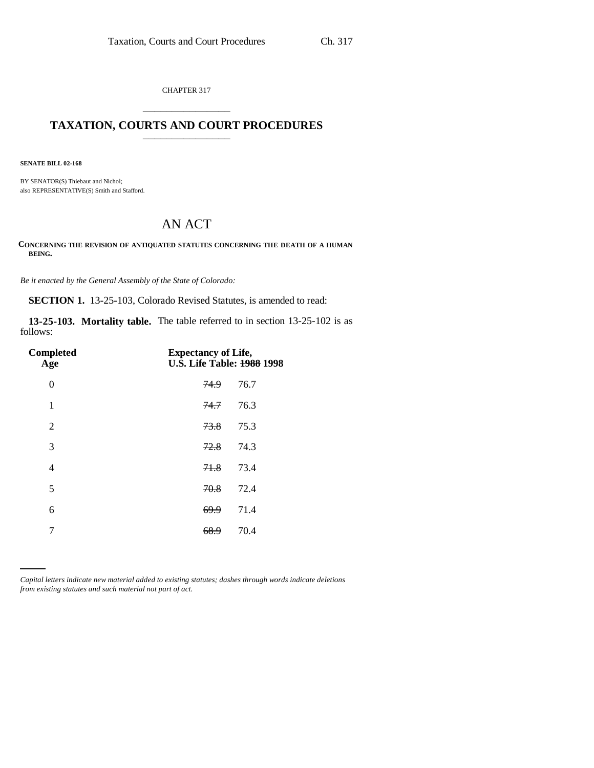CHAPTER 317 \_\_\_\_\_\_\_\_\_\_\_\_\_\_\_

## **TAXATION, COURTS AND COURT PROCEDURES** \_\_\_\_\_\_\_\_\_\_\_\_\_\_\_

**SENATE BILL 02-168**

BY SENATOR(S) Thiebaut and Nichol; also REPRESENTATIVE(S) Smith and Stafford.

## AN ACT

**CONCERNING THE REVISION OF ANTIQUATED STATUTES CONCERNING THE DEATH OF A HUMAN BEING.**

*Be it enacted by the General Assembly of the State of Colorado:*

**SECTION 1.** 13-25-103, Colorado Revised Statutes, is amended to read:

**13-25-103. Mortality table.** The table referred to in section 13-25-102 is as follows:

| Completed<br>Age | <b>Expectancy of Life,</b><br><b>U.S. Life Table: 1988 1998</b> |
|------------------|-----------------------------------------------------------------|
| 0                | 76.7<br>74.9                                                    |
| 1                | 74.7<br>76.3                                                    |
| $\overline{2}$   | 75.3<br>73.8                                                    |
| 3                | 74.3<br>72.8                                                    |
| $\overline{4}$   | 71.8<br>73.4                                                    |
| 5                | 72.4<br>70.8                                                    |
| 6                | 71.4<br>69.9                                                    |
| 7                | 70.4                                                            |

*Capital letters indicate new material added to existing statutes; dashes through words indicate deletions from existing statutes and such material not part of act.*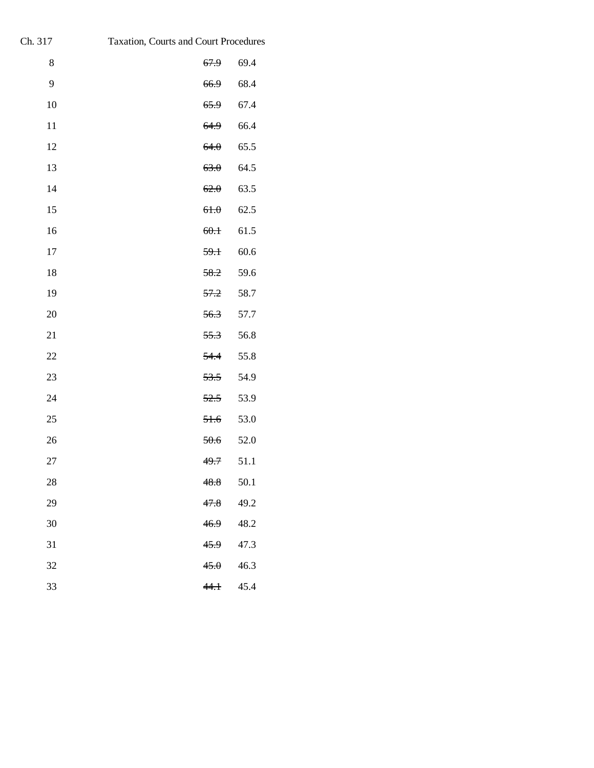| Ch. 317 | Taxation, Courts and Court Procedures |      |
|---------|---------------------------------------|------|
| 8       | 67.9                                  | 69.4 |
| 9       | 66.9                                  | 68.4 |
| 10      | 65.9                                  | 67.4 |
| 11      | 64.9                                  | 66.4 |
| 12      | 64.0                                  | 65.5 |
| 13      | 63.0                                  | 64.5 |
| 14      | 62.0                                  | 63.5 |
| 15      | 61.0                                  | 62.5 |
| 16      | 60.1                                  | 61.5 |
| 17      | 59.1                                  | 60.6 |
| 18      | 58.2                                  | 59.6 |
| 19      | 57.2                                  | 58.7 |
| 20      | 56.3                                  | 57.7 |
| 21      | 55.3                                  | 56.8 |
| 22      | 54.4                                  | 55.8 |
| 23      | 53.5                                  | 54.9 |
| 24      | 52.5                                  | 53.9 |
| 25      | 51.6                                  | 53.0 |
| 26      | 50.6                                  | 52.0 |
| 27      | 49.7                                  | 51.1 |
| 28      | 48.8                                  | 50.1 |
| 29      | 47.8                                  | 49.2 |
| 30      | 46.9                                  | 48.2 |
| 31      | 45.9                                  | 47.3 |
| 32      | 45.0                                  | 46.3 |
| 33      | 44.1                                  | 45.4 |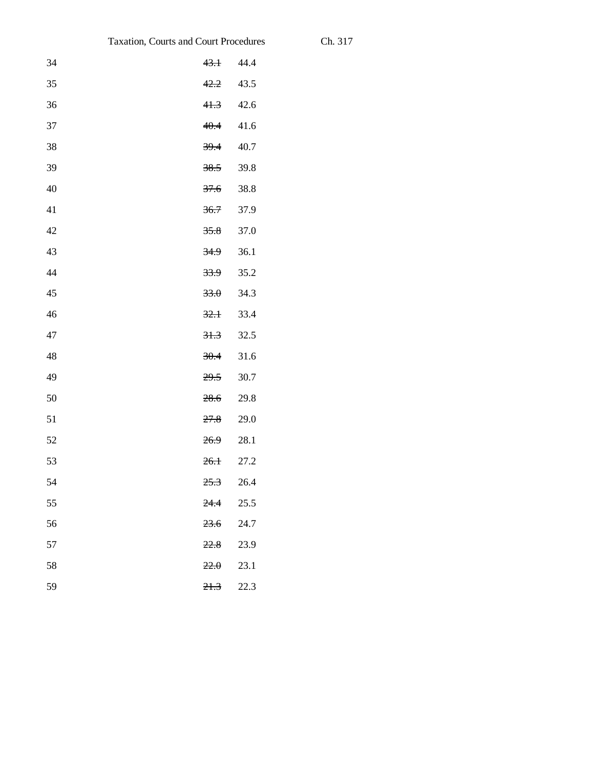| Taxation, Courts and Court Procedures |                 |      |
|---------------------------------------|-----------------|------|
| 34                                    | 43.1            | 44.4 |
| 35                                    | 42.2            | 43.5 |
| 36                                    | 41.3            | 42.6 |
| 37                                    | 40.4            | 41.6 |
| 38                                    | <del>39.4</del> | 40.7 |
| 39                                    | <del>38.5</del> | 39.8 |
| 40                                    | <del>37.6</del> | 38.8 |
| 41                                    | <del>36.7</del> | 37.9 |
| 42                                    | <del>35.8</del> | 37.0 |
| 43                                    | <del>34.9</del> | 36.1 |
| 44                                    | <del>33.9</del> | 35.2 |
| 45                                    | 33.0            | 34.3 |
| 46                                    | 32.1            | 33.4 |
| 47                                    | 31.3            | 32.5 |
| 48                                    | <del>30.4</del> | 31.6 |
| 49                                    | <del>29.5</del> | 30.7 |
| 50                                    | <del>28.6</del> | 29.8 |
| 51                                    | <del>27.8</del> | 29.0 |
| 52                                    | <del>26.9</del> | 28.1 |
| 53                                    | <del>26.1</del> | 27.2 |
| 54                                    | 25.3            | 26.4 |
| 55                                    | 24.4            | 25.5 |
| 56                                    | 23.6            | 24.7 |
| 57                                    | 22.8            | 23.9 |
| 58                                    | 22.0            | 23.1 |
| 59                                    | 21.3            | 22.3 |

Ch. 317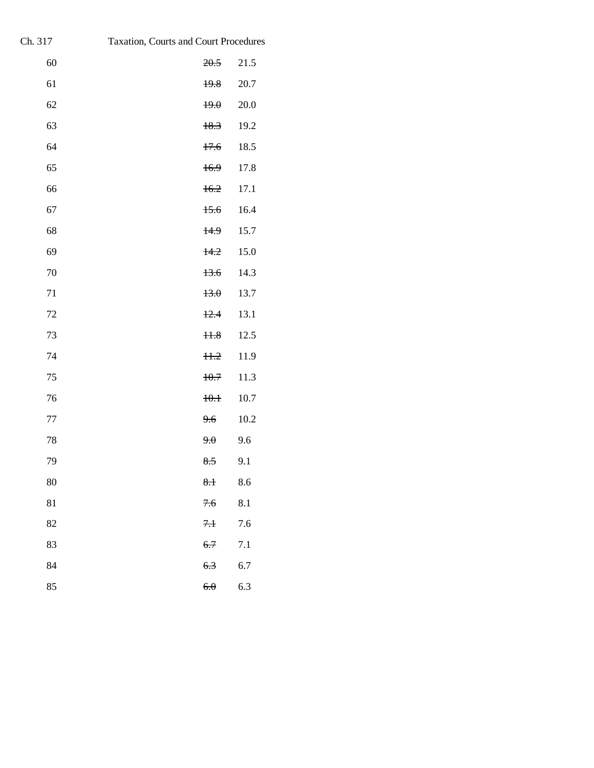| Ch. 317 | Taxation, Courts and Court Procedures |        |      |
|---------|---------------------------------------|--------|------|
| 60      |                                       | 20.5   | 21.5 |
| 61      |                                       | 19.8   | 20.7 |
| 62      |                                       | 19.0   | 20.0 |
| 63      |                                       | 18.3   | 19.2 |
| 64      |                                       | 17.6   | 18.5 |
| 65      |                                       | 16.9   | 17.8 |
| 66      |                                       | 16.2   | 17.1 |
| 67      |                                       | 15.6   | 16.4 |
| 68      |                                       | 14.9   | 15.7 |
| 69      |                                       | 14.2   | 15.0 |
| 70      |                                       | 13.6   | 14.3 |
| 71      |                                       | 13.0   | 13.7 |
| 72      |                                       | 12.4   | 13.1 |
| 73      |                                       | H.8    | 12.5 |
| 74      |                                       | H.2    | 11.9 |
| 75      |                                       | 10.7   | 11.3 |
| 76      |                                       | $+0.1$ | 10.7 |
| 77      |                                       | 9.6    | 10.2 |
| 78      |                                       | 9.0    | 9.6  |
| 79      |                                       | 8.5    | 9.1  |
| 80      |                                       | $8+$   | 8.6  |
| 81      |                                       | 7.6    | 8.1  |
| 82      |                                       | 7.1    | 7.6  |
| 83      |                                       | 6.7    | 7.1  |
| 84      |                                       | 6.3    | 6.7  |
| 85      |                                       | 6.0    | 6.3  |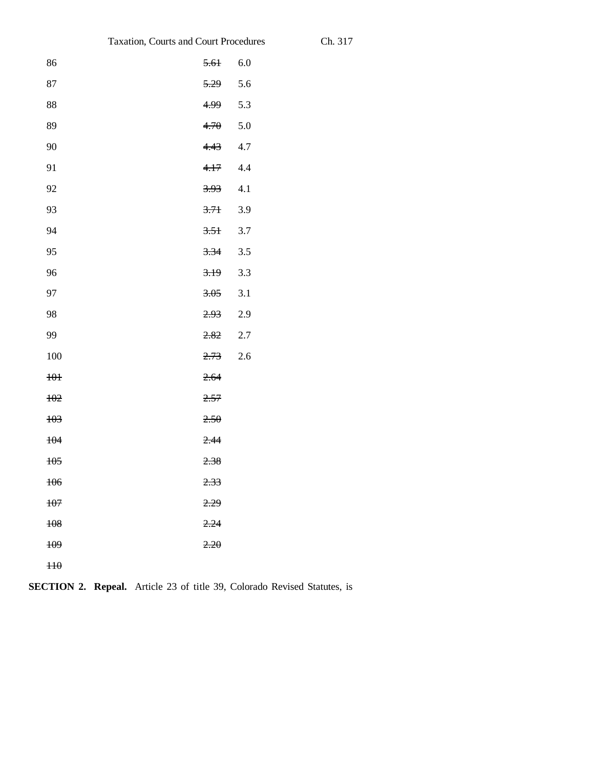|                | <b>Taxation, Courts and Court Procedures</b> |     |
|----------------|----------------------------------------------|-----|
| 86             | <del>5.61</del>                              | 6.0 |
| 87             | 5.29                                         | 5.6 |
| 88             | 4.99                                         | 5.3 |
| 89             | 4.70                                         | 5.0 |
| 90             | 4.43                                         | 4.7 |
| 91             | 4.17                                         | 4.4 |
| 92             | <del>3.93</del>                              | 4.1 |
| 93             | <del>3.71</del>                              | 3.9 |
| 94             | <del>3.51</del>                              | 3.7 |
| 95             | <del>3.34</del>                              | 3.5 |
| 96             | <del>3.19</del>                              | 3.3 |
| 97             | 3.05                                         | 3.1 |
| 98             | <del>2.93</del>                              | 2.9 |
| 99             | 2.82                                         | 2.7 |
| 100            | 2.73                                         | 2.6 |
| $+0+$          | 2.64                                         |     |
| ±02            | 2.57                                         |     |
| 103            | 2.50                                         |     |
| 104            | <del>2.44</del>                              |     |
| 105            | <del>2.38</del>                              |     |
| 106            | 2.33                                         |     |
| 107            | 2.29                                         |     |
| 108            | 2.24                                         |     |
| 109            | 2.20                                         |     |
| H <sub>0</sub> |                                              |     |

Ch. 317

| <b>SECTION 2. Repeal.</b> Article 23 of title 39, Colorado Revised Statutes, is |  |
|---------------------------------------------------------------------------------|--|
|---------------------------------------------------------------------------------|--|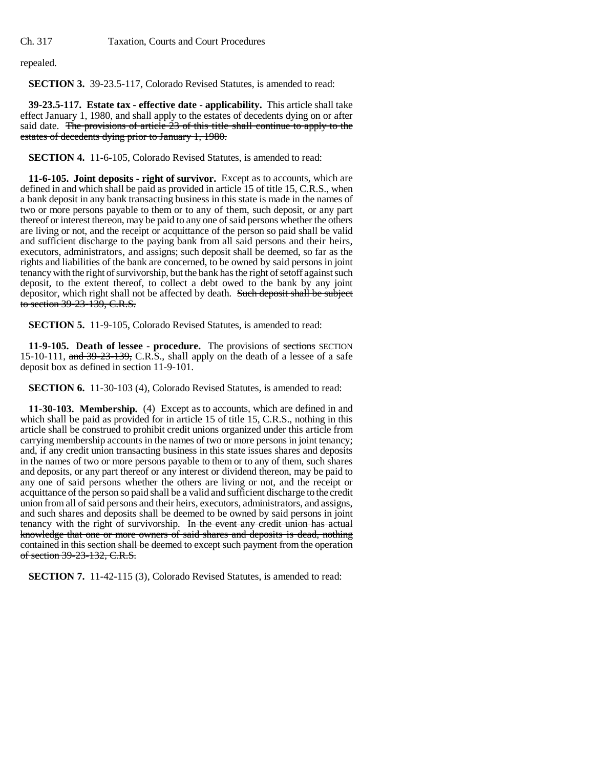repealed.

**SECTION 3.** 39-23.5-117, Colorado Revised Statutes, is amended to read:

**39-23.5-117. Estate tax - effective date - applicability.** This article shall take effect January 1, 1980, and shall apply to the estates of decedents dying on or after said date. The provisions of article 23 of this title shall continue to apply to the estates of decedents dying prior to January 1, 1980.

**SECTION 4.** 11-6-105, Colorado Revised Statutes, is amended to read:

**11-6-105. Joint deposits - right of survivor.** Except as to accounts, which are defined in and which shall be paid as provided in article 15 of title 15, C.R.S., when a bank deposit in any bank transacting business in this state is made in the names of two or more persons payable to them or to any of them, such deposit, or any part thereof or interest thereon, may be paid to any one of said persons whether the others are living or not, and the receipt or acquittance of the person so paid shall be valid and sufficient discharge to the paying bank from all said persons and their heirs, executors, administrators, and assigns; such deposit shall be deemed, so far as the rights and liabilities of the bank are concerned, to be owned by said persons in joint tenancy with the right of survivorship, but the bank has the right of setoff against such deposit, to the extent thereof, to collect a debt owed to the bank by any joint depositor, which right shall not be affected by death. Such deposit shall be subject to section 39-23-139, C.R.S.

**SECTION 5.** 11-9-105, Colorado Revised Statutes, is amended to read:

**11-9-105. Death of lessee - procedure.** The provisions of sections SECTION 15-10-111, and  $39-23-139$ , C.R.S., shall apply on the death of a lessee of a safe deposit box as defined in section 11-9-101.

**SECTION 6.** 11-30-103 (4), Colorado Revised Statutes, is amended to read:

**11-30-103. Membership.** (4) Except as to accounts, which are defined in and which shall be paid as provided for in article 15 of title 15, C.R.S., nothing in this article shall be construed to prohibit credit unions organized under this article from carrying membership accounts in the names of two or more persons in joint tenancy; and, if any credit union transacting business in this state issues shares and deposits in the names of two or more persons payable to them or to any of them, such shares and deposits, or any part thereof or any interest or dividend thereon, may be paid to any one of said persons whether the others are living or not, and the receipt or acquittance of the person so paid shall be a valid and sufficient discharge to the credit union from all of said persons and their heirs, executors, administrators, and assigns, and such shares and deposits shall be deemed to be owned by said persons in joint tenancy with the right of survivorship. In the event any credit union has actual knowledge that one or more owners of said shares and deposits is dead, nothing contained in this section shall be deemed to except such payment from the operation of section 39-23-132, C.R.S.

**SECTION 7.** 11-42-115 (3), Colorado Revised Statutes, is amended to read: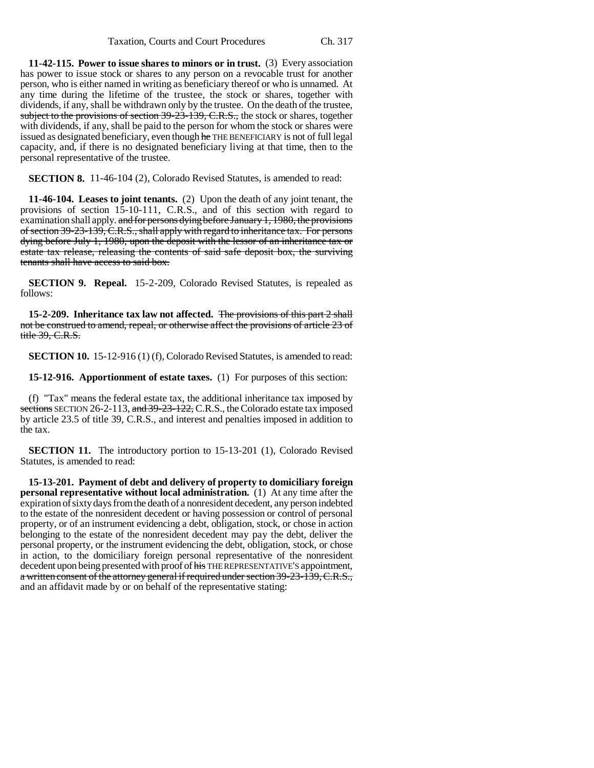**11-42-115. Power to issue shares to minors or in trust.** (3) Every association has power to issue stock or shares to any person on a revocable trust for another person, who is either named in writing as beneficiary thereof or who is unnamed. At any time during the lifetime of the trustee, the stock or shares, together with dividends, if any, shall be withdrawn only by the trustee. On the death of the trustee, subject to the provisions of section 39-23-139, C.R.S., the stock or shares, together with dividends, if any, shall be paid to the person for whom the stock or shares were issued as designated beneficiary, even though he THE BENEFICIARY is not of full legal capacity, and, if there is no designated beneficiary living at that time, then to the personal representative of the trustee.

**SECTION 8.** 11-46-104 (2), Colorado Revised Statutes, is amended to read:

**11-46-104. Leases to joint tenants.** (2) Upon the death of any joint tenant, the provisions of section 15-10-111, C.R.S., and of this section with regard to examination shall apply. and for persons dying before January 1, 1980, the provisions of section 39-23-139, C.R.S., shall apply with regard to inheritance tax. For persons dying before July 1, 1980, upon the deposit with the lessor of an inheritance tax or estate tax release, releasing the contents of said safe deposit box, the surviving tenants shall have access to said box.

**SECTION 9. Repeal.** 15-2-209, Colorado Revised Statutes, is repealed as follows:

**15-2-209. Inheritance tax law not affected.** The provisions of this part 2 shall not be construed to amend, repeal, or otherwise affect the provisions of article 23 of title 39, C.R.S.

**SECTION 10.** 15-12-916 (1) (f), Colorado Revised Statutes, is amended to read:

**15-12-916. Apportionment of estate taxes.** (1) For purposes of this section:

(f) "Tax" means the federal estate tax, the additional inheritance tax imposed by sections SECTION 26-2-113, and 39-23-122, C.R.S., the Colorado estate tax imposed by article 23.5 of title 39, C.R.S., and interest and penalties imposed in addition to the tax.

**SECTION 11.** The introductory portion to 15-13-201 (1), Colorado Revised Statutes, is amended to read:

**15-13-201. Payment of debt and delivery of property to domiciliary foreign personal representative without local administration.** (1) At any time after the expiration of sixty days from the death of a nonresident decedent, any person indebted to the estate of the nonresident decedent or having possession or control of personal property, or of an instrument evidencing a debt, obligation, stock, or chose in action belonging to the estate of the nonresident decedent may pay the debt, deliver the personal property, or the instrument evidencing the debt, obligation, stock, or chose in action, to the domiciliary foreign personal representative of the nonresident decedent upon being presented with proof of his THE REPRESENTATIVE'S appointment, a written consent of the attorney general if required under section 39-23-139, C.R.S., and an affidavit made by or on behalf of the representative stating: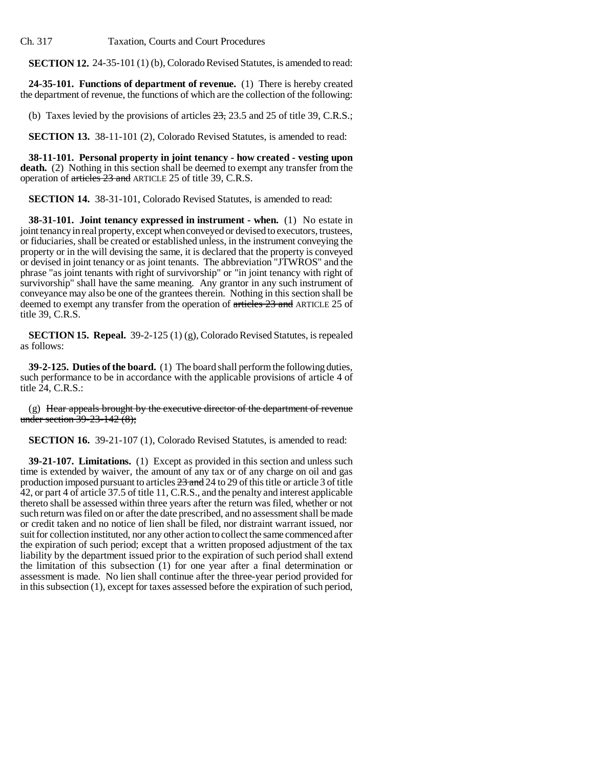Ch. 317 Taxation, Courts and Court Procedures

**SECTION 12.** 24-35-101 (1) (b), Colorado Revised Statutes, is amended to read:

**24-35-101. Functions of department of revenue.** (1) There is hereby created the department of revenue, the functions of which are the collection of the following:

(b) Taxes levied by the provisions of articles  $23, 23.5$  and 25 of title 39, C.R.S.;

**SECTION 13.** 38-11-101 (2), Colorado Revised Statutes, is amended to read:

**38-11-101. Personal property in joint tenancy - how created - vesting upon death.** (2) Nothing in this section shall be deemed to exempt any transfer from the operation of articles 23 and ARTICLE 25 of title 39, C.R.S.

**SECTION 14.** 38-31-101, Colorado Revised Statutes, is amended to read:

**38-31-101. Joint tenancy expressed in instrument - when.** (1) No estate in joint tenancy in real property, except when conveyed or devised to executors, trustees, or fiduciaries, shall be created or established unless, in the instrument conveying the property or in the will devising the same, it is declared that the property is conveyed or devised in joint tenancy or as joint tenants. The abbreviation "JTWROS" and the phrase "as joint tenants with right of survivorship" or "in joint tenancy with right of survivorship" shall have the same meaning. Any grantor in any such instrument of conveyance may also be one of the grantees therein. Nothing in this section shall be deemed to exempt any transfer from the operation of articles 23 and ARTICLE 25 of title 39, C.R.S.

**SECTION 15. Repeal.** 39-2-125 (1) (g), Colorado Revised Statutes, is repealed as follows:

**39-2-125. Duties of the board.** (1) The board shall perform the following duties, such performance to be in accordance with the applicable provisions of article 4 of title 24, C.R.S.:

 $(g)$  Hear appeals brought by the executive director of the department of revenue under section 39-23-142 (8);

**SECTION 16.** 39-21-107 (1), Colorado Revised Statutes, is amended to read:

**39-21-107. Limitations.** (1) Except as provided in this section and unless such time is extended by waiver, the amount of any tax or of any charge on oil and gas production imposed pursuant to articles 23 and 24 to 29 of this title or article 3 of title 42, or part 4 of article 37.5 of title 11, C.R.S., and the penalty and interest applicable thereto shall be assessed within three years after the return was filed, whether or not such return was filed on or after the date prescribed, and no assessment shall be made or credit taken and no notice of lien shall be filed, nor distraint warrant issued, nor suit for collection instituted, nor any other action to collect the same commenced after the expiration of such period; except that a written proposed adjustment of the tax liability by the department issued prior to the expiration of such period shall extend the limitation of this subsection (1) for one year after a final determination or assessment is made. No lien shall continue after the three-year period provided for in this subsection (1), except for taxes assessed before the expiration of such period,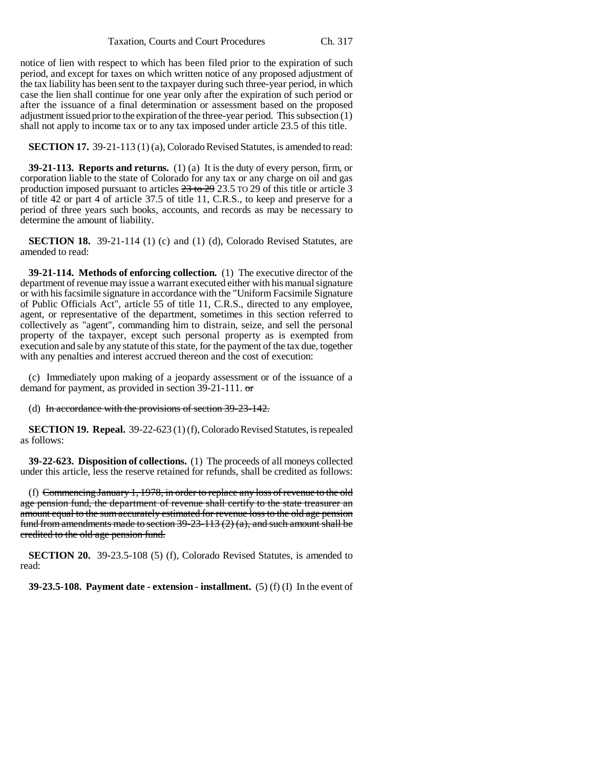notice of lien with respect to which has been filed prior to the expiration of such period, and except for taxes on which written notice of any proposed adjustment of the tax liability has been sent to the taxpayer during such three-year period, in which case the lien shall continue for one year only after the expiration of such period or after the issuance of a final determination or assessment based on the proposed adjustment issued prior to the expiration of the three-year period. This subsection (1) shall not apply to income tax or to any tax imposed under article 23.5 of this title.

**SECTION 17.** 39-21-113 (1) (a), Colorado Revised Statutes, is amended to read:

**39-21-113. Reports and returns.** (1) (a) It is the duty of every person, firm, or corporation liable to the state of Colorado for any tax or any charge on oil and gas production imposed pursuant to articles 23 to 29 23.5 TO 29 of this title or article 3 of title 42 or part 4 of article 37.5 of title 11, C.R.S., to keep and preserve for a period of three years such books, accounts, and records as may be necessary to determine the amount of liability.

**SECTION 18.** 39-21-114 (1) (c) and (1) (d), Colorado Revised Statutes, are amended to read:

**39-21-114. Methods of enforcing collection.** (1) The executive director of the department of revenue may issue a warrant executed either with his manual signature or with his facsimile signature in accordance with the "Uniform Facsimile Signature of Public Officials Act", article 55 of title 11, C.R.S., directed to any employee, agent, or representative of the department, sometimes in this section referred to collectively as "agent", commanding him to distrain, seize, and sell the personal property of the taxpayer, except such personal property as is exempted from execution and sale by any statute of this state, for the payment of the tax due, together with any penalties and interest accrued thereon and the cost of execution:

(c) Immediately upon making of a jeopardy assessment or of the issuance of a demand for payment, as provided in section  $39-21-111$ . or

## (d) In accordance with the provisions of section 39-23-142.

**SECTION 19. Repeal.** 39-22-623 (1) (f), Colorado Revised Statutes, is repealed as follows:

**39-22-623. Disposition of collections.** (1) The proceeds of all moneys collected under this article, less the reserve retained for refunds, shall be credited as follows:

(f) Commencing January 1, 1978, in order to replace any loss of revenue to the old age pension fund, the department of revenue shall certify to the state treasurer an amount equal to the sum accurately estimated for revenue loss to the old age pension fund from amendments made to section  $39-23-113(2)(a)$ , and such amount shall be credited to the old age pension fund.

**SECTION 20.** 39-23.5-108 (5) (f), Colorado Revised Statutes, is amended to read:

**39-23.5-108. Payment date - extension - installment.** (5) (f) (I) In the event of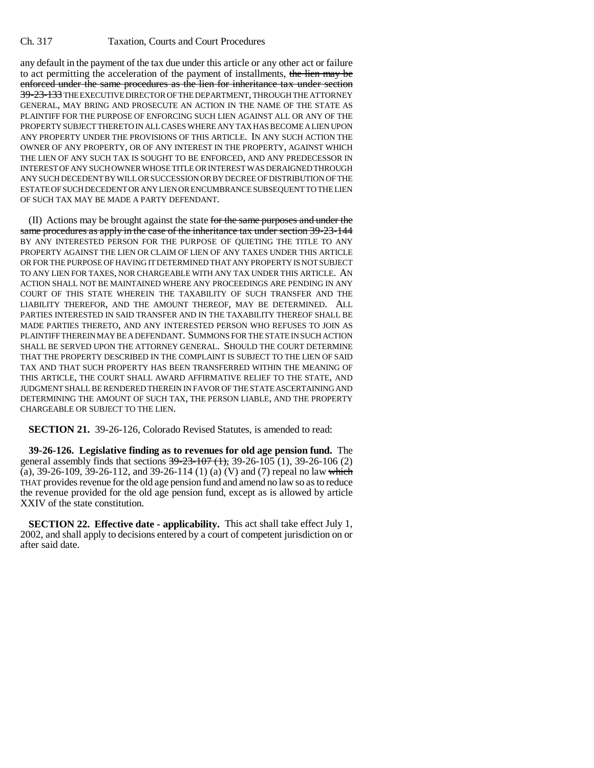any default in the payment of the tax due under this article or any other act or failure to act permitting the acceleration of the payment of installments, the lien may be enforced under the same procedures as the lien for inheritance tax under section 39-23-133 THE EXECUTIVE DIRECTOR OF THE DEPARTMENT, THROUGH THE ATTORNEY GENERAL, MAY BRING AND PROSECUTE AN ACTION IN THE NAME OF THE STATE AS PLAINTIFF FOR THE PURPOSE OF ENFORCING SUCH LIEN AGAINST ALL OR ANY OF THE PROPERTY SUBJECT THERETO IN ALL CASES WHERE ANY TAX HAS BECOME A LIEN UPON ANY PROPERTY UNDER THE PROVISIONS OF THIS ARTICLE. IN ANY SUCH ACTION THE OWNER OF ANY PROPERTY, OR OF ANY INTEREST IN THE PROPERTY, AGAINST WHICH THE LIEN OF ANY SUCH TAX IS SOUGHT TO BE ENFORCED, AND ANY PREDECESSOR IN INTEREST OF ANY SUCH OWNER WHOSE TITLE OR INTEREST WAS DERAIGNED THROUGH ANY SUCH DECEDENT BY WILL OR SUCCESSION OR BY DECREE OF DISTRIBUTION OF THE ESTATE OF SUCH DECEDENT OR ANY LIEN OR ENCUMBRANCE SUBSEQUENT TO THE LIEN OF SUCH TAX MAY BE MADE A PARTY DEFENDANT.

(II) Actions may be brought against the state for the same purposes and under the same procedures as apply in the case of the inheritance tax under section 39-23-144 BY ANY INTERESTED PERSON FOR THE PURPOSE OF QUIETING THE TITLE TO ANY PROPERTY AGAINST THE LIEN OR CLAIM OF LIEN OF ANY TAXES UNDER THIS ARTICLE OR FOR THE PURPOSE OF HAVING IT DETERMINED THAT ANY PROPERTY IS NOT SUBJECT TO ANY LIEN FOR TAXES, NOR CHARGEABLE WITH ANY TAX UNDER THIS ARTICLE. AN ACTION SHALL NOT BE MAINTAINED WHERE ANY PROCEEDINGS ARE PENDING IN ANY COURT OF THIS STATE WHEREIN THE TAXABILITY OF SUCH TRANSFER AND THE LIABILITY THEREFOR, AND THE AMOUNT THEREOF, MAY BE DETERMINED. ALL PARTIES INTERESTED IN SAID TRANSFER AND IN THE TAXABILITY THEREOF SHALL BE MADE PARTIES THERETO, AND ANY INTERESTED PERSON WHO REFUSES TO JOIN AS PLAINTIFF THEREIN MAY BE A DEFENDANT. SUMMONS FOR THE STATE IN SUCH ACTION SHALL BE SERVED UPON THE ATTORNEY GENERAL. SHOULD THE COURT DETERMINE THAT THE PROPERTY DESCRIBED IN THE COMPLAINT IS SUBJECT TO THE LIEN OF SAID TAX AND THAT SUCH PROPERTY HAS BEEN TRANSFERRED WITHIN THE MEANING OF THIS ARTICLE, THE COURT SHALL AWARD AFFIRMATIVE RELIEF TO THE STATE, AND JUDGMENT SHALL BE RENDERED THEREIN IN FAVOR OF THE STATE ASCERTAINING AND DETERMINING THE AMOUNT OF SUCH TAX, THE PERSON LIABLE, AND THE PROPERTY CHARGEABLE OR SUBJECT TO THE LIEN.

**SECTION 21.** 39-26-126, Colorado Revised Statutes, is amended to read:

**39-26-126. Legislative finding as to revenues for old age pension fund.** The general assembly finds that sections  $39-23-107(1)$ ,  $39-26-105(1)$ ,  $39-26-106(2)$ (a), 39-26-109, 39-26-112, and 39-26-114 (1) (a) (V) and (7) repeal no law which THAT provides revenue for the old age pension fund and amend no law so as to reduce the revenue provided for the old age pension fund, except as is allowed by article XXIV of the state constitution.

**SECTION 22. Effective date - applicability.** This act shall take effect July 1, 2002, and shall apply to decisions entered by a court of competent jurisdiction on or after said date.